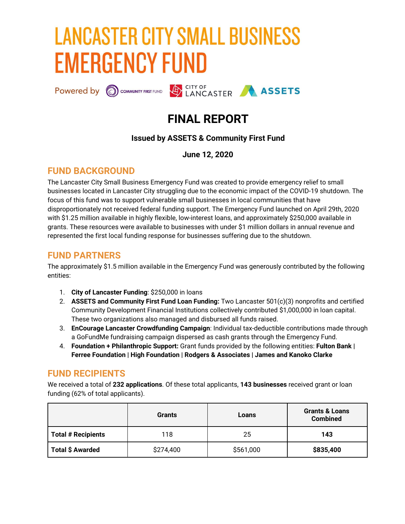# **LANCASTER CITY SMALL BUSINESS EMERGENCY FUND**

Powered by C COMMUNITY FIRST FUND LANCASTER ASSETS

## **FINAL REPORT**

## **Issued by ASSETS & Community First Fund**

**June 12, 2020**

## **FUND BACKGROUND**

The Lancaster City Small Business Emergency Fund was created to provide emergency relief to small businesses located in Lancaster City struggling due to the economic impact of the COVID-19 shutdown. The focus of this fund was to support vulnerable small businesses in local communities that have disproportionately not received federal funding support. The Emergency Fund launched on April 29th, 2020 with \$1.25 million available in highly flexible, low-interest loans, and approximately \$250,000 available in grants. These resources were available to businesses with under \$1 million dollars in annual revenue and represented the first local funding response for businesses suffering due to the shutdown.

## **FUND PARTNERS**

The approximately \$1.5 million available in the Emergency Fund was generously contributed by the following entities:

- 1. **City of Lancaster Funding**: \$250,000 in loans
- 2. **[ASSETS](https://assetspa.org/) and [Community](https://communityfirstfund.org/) First Fund Loan Funding:** Two Lancaster 501(c)(3) nonprofits and certified Community Development Financial Institutions collectively contributed \$1,000,000 in loan capital. These two organizations also managed and disbursed all funds raised.
- 3. **[EnCourage](https://encouragelancaster.com/) Lancaster Crowdfunding Campaign**: Individual tax-deductible contributions made through a [GoFundMe](https://charity.gofundme.com/o/en/campaign/encourage-lancaster-small-business-emergency-fund) fundraising campaign dispersed as cash grants through the Emergency Fund.
- 4. **Foundation + Philanthropic Support:** Grant funds provided by the following entities: **[Fulton](https://www.fultonbank.com/) Bank | Ferree [Foundation](https://www.ferree-foundation.org/) | High [Foundation](https://www.highfoundation.org/) | Rodgers & [Associates](https://rodgers-associates.com/) | James and Kanoko Clarke**

## **FUND RECIPIENTS**

We received a total of **232 applications**. Of these total applicants, **143 businesses** received grant or loan funding (62% of total applicants).

|                           | <b>Grants</b> | Loans     | <b>Grants &amp; Loans</b><br><b>Combined</b> |
|---------------------------|---------------|-----------|----------------------------------------------|
| <b>Total # Recipients</b> | 118           | 25        | 143                                          |
| Total \$ Awarded          | \$274,400     | \$561,000 | \$835,400                                    |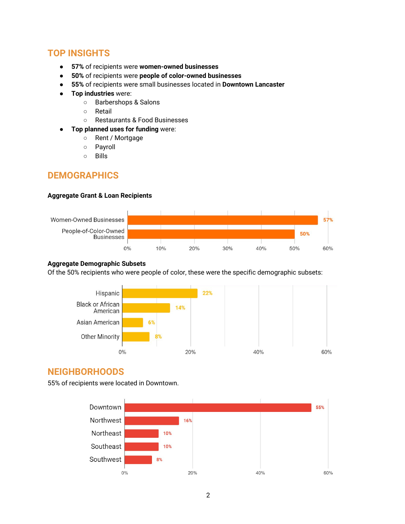## **TOP INSIGHTS**

- **57%** of recipients were **women-owned businesses**
- **50%** of recipients were **people of color-owned businesses**
- **55%** of recipients were small businesses located in **Downtown Lancaster**
- **Top industries** were:
	- Barbershops & Salons
	- Retail
	- Restaurants & Food Businesses
	- **Top planned uses for funding** were:
		- Rent / Mortgage
		- Payroll
		- Bills

## **DEMOGRAPHICS**

#### **Aggregate Grant & Loan Recipients**



#### **Aggregate Demographic Subsets**

Of the 50% recipients who were people of color, these were the specific demographic subsets:



## **NEIGHBORHOODS**

55% of recipients were located in Downtown.

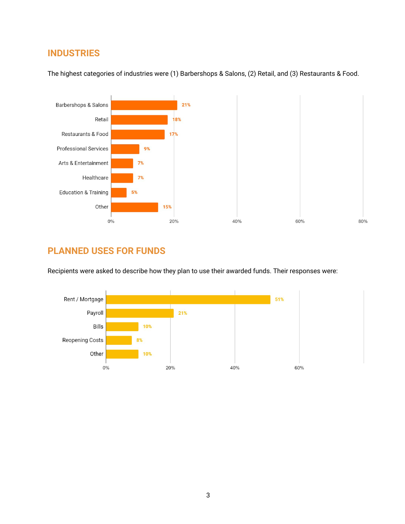## **INDUSTRIES**



The highest categories of industries were (1) Barbershops & Salons, (2) Retail, and (3) Restaurants & Food.

## **PLANNED USES FOR FUNDS**

Recipients were asked to describe how they plan to use their awarded funds. Their responses were:

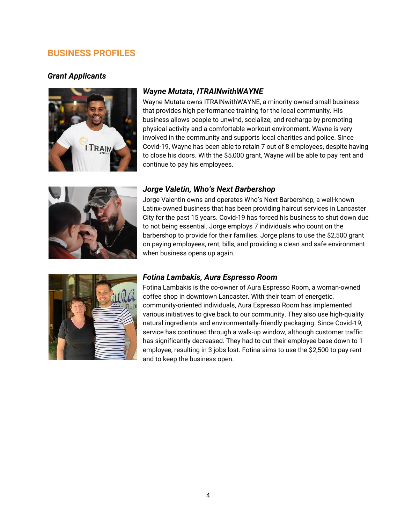## **BUSINESS PROFILES**

### *Grant Applicants*



#### *Wayne Mutata, ITRAINwithWAYNE*

Wayne Mutata owns ITRAINwithWAYNE, a minority-owned small business that provides high performance training for the local community. His business allows people to unwind, socialize, and recharge by promoting physical activity and a comfortable workout environment. Wayne is very involved in the community and supports local charities and police. Since Covid-19, Wayne has been able to retain 7 out of 8 employees, despite having to close his doors. With the \$5,000 grant, Wayne will be able to pay rent and continue to pay his employees.



#### *Jorge Valetin, Who's Next Barbershop*

Jorge Valentin owns and operates Who's Next Barbershop, a well-known Latinx-owned business that has been providing haircut services in Lancaster City for the past 15 years. Covid-19 has forced his business to shut down due to not being essential. Jorge employs 7 individuals who count on the barbershop to provide for their families. Jorge plans to use the \$2,500 grant on paying employees, rent, bills, and providing a clean and safe environment when business opens up again.



#### *Fotina Lambakis, Aura Espresso Room*

Fotina Lambakis is the co-owner of Aura Espresso Room, a woman-owned coffee shop in downtown Lancaster. With their team of energetic, community-oriented individuals, Aura Espresso Room has implemented various initiatives to give back to our community. They also use high-quality natural ingredients and environmentally-friendly packaging. Since Covid-19, service has continued through a walk-up window, although customer traffic has significantly decreased. They had to cut their employee base down to 1 employee, resulting in 3 jobs lost. Fotina aims to use the \$2,500 to pay rent and to keep the business open.